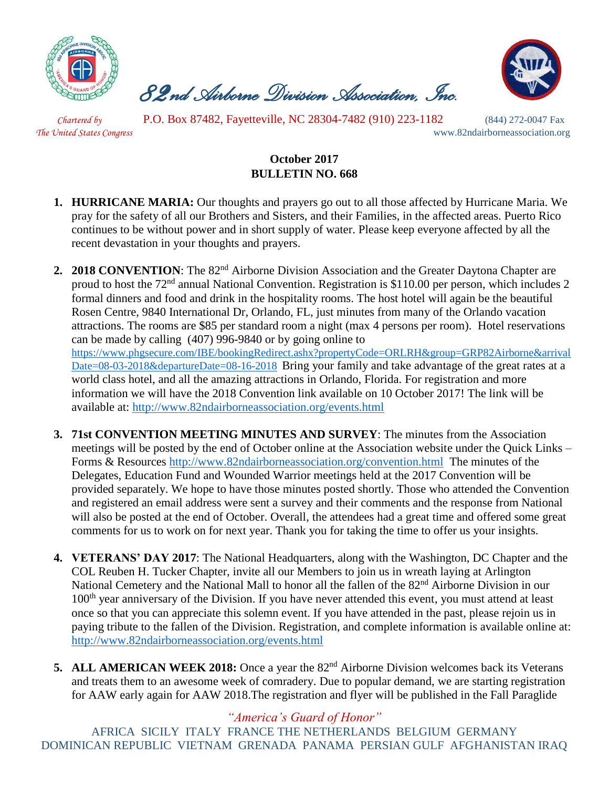

 *82nd Airborne Division Association, Inc.* 



 *Chartered by* P.O. Box 87482, Fayetteville, NC 28304-7482 (910) 223-1182 (844) 272-0047 Fax

*The United States Congress* www.82ndairborneassociation.org

## **October 2017 BULLETIN NO. 668**

- **1. HURRICANE MARIA:** Our thoughts and prayers go out to all those affected by Hurricane Maria. We pray for the safety of all our Brothers and Sisters, and their Families, in the affected areas. Puerto Rico continues to be without power and in short supply of water. Please keep everyone affected by all the recent devastation in your thoughts and prayers.
- **2. 2018 CONVENTION**: The 82<sup>nd</sup> Airborne Division Association and the Greater Daytona Chapter are proud to host the 72nd annual National Convention. Registration is \$110.00 per person, which includes 2 formal dinners and food and drink in the hospitality rooms. The host hotel will again be the beautiful Rosen Centre, 9840 International Dr, Orlando, FL, just minutes from many of the Orlando vacation attractions. The rooms are \$85 per standard room a night (max 4 persons per room). Hotel reservations can be made by calling (407) 996-9840 or by going online t[o](https://linkprotect.cudasvc.com/url?a=https://www.phgsecure.com/IBE/bookingRedirect.ashx%3fpropertyCode%3dORLRH%26group%3dGRP82Airborne%26arrivalDate%3d08-03-2018%26departureDate%3d08-16-2018&c=E,1,HJtkOoO-PUZczzsVfSzwv1cNxcZEiOIYkaul51Pqvrt0mtZE9BFRRgYTPurE5U_mLWnXg2_HaS66eVRzXCgHDjvxr7tr8i3ZlU6XNH5Mc8xS&typo=1) [https://www.phgsecure.com/IBE/bookingRedirect.ashx?propertyCode=ORLRH&group=GRP82Airborne&arrival](https://linkprotect.cudasvc.com/url?a=https://www.phgsecure.com/IBE/bookingRedirect.ashx%3fpropertyCode%3dORLRH%26group%3dGRP82Airborne%26arrivalDate%3d08-03-2018%26departureDate%3d08-16-2018&c=E,1,HJtkOoO-PUZczzsVfSzwv1cNxcZEiOIYkaul51Pqvrt0mtZE9BFRRgYTPurE5U_mLWnXg2_HaS66eVRzXCgHDjvxr7tr8i3ZlU6XNH5Mc8xS&typo=1) [Date=08-03-2018&departureDate=08-16-2018](https://linkprotect.cudasvc.com/url?a=https://www.phgsecure.com/IBE/bookingRedirect.ashx%3fpropertyCode%3dORLRH%26group%3dGRP82Airborne%26arrivalDate%3d08-03-2018%26departureDate%3d08-16-2018&c=E,1,HJtkOoO-PUZczzsVfSzwv1cNxcZEiOIYkaul51Pqvrt0mtZE9BFRRgYTPurE5U_mLWnXg2_HaS66eVRzXCgHDjvxr7tr8i3ZlU6XNH5Mc8xS&typo=1) Bring your family and take advantage of the great rates at a world class hotel, and all the amazing attractions in Orlando, Florida. For registration and more information we will have the 2018 Convention link available on 10 October 2017! The link will be available at:<http://www.82ndairborneassociation.org/events.html>
- **3. 71st CONVENTION MEETING MINUTES AND SURVEY**: The minutes from the Association meetings will be posted by the end of October online at the Association website under the Quick Links – Forms & Resources<http://www.82ndairborneassociation.org/convention.html> The minutes of the Delegates, Education Fund and Wounded Warrior meetings held at the 2017 Convention will be provided separately. We hope to have those minutes posted shortly. Those who attended the Convention and registered an email address were sent a survey and their comments and the response from National will also be posted at the end of October. Overall, the attendees had a great time and offered some great comments for us to work on for next year. Thank you for taking the time to offer us your insights.
- **4. VETERANS' DAY 2017**: The National Headquarters, along with the Washington, DC Chapter and the COL Reuben H. Tucker Chapter, invite all our Members to join us in wreath laying at Arlington National Cemetery and the National Mall to honor all the fallen of the 82<sup>nd</sup> Airborne Division in our 100<sup>th</sup> year anniversary of the Division. If you have never attended this event, you must attend at least once so that you can appreciate this solemn event. If you have attended in the past, please rejoin us in paying tribute to the fallen of the Division. Registration, and complete information is available online at: <http://www.82ndairborneassociation.org/events.html>
- **5. ALL AMERICAN WEEK 2018:** Once a year the 82<sup>nd</sup> Airborne Division welcomes back its Veterans and treats them to an awesome week of comradery. Due to popular demand, we are starting registration for AAW early again for AAW 2018.The registration and flyer will be published in the Fall Paraglide

*"America's Guard of Honor"*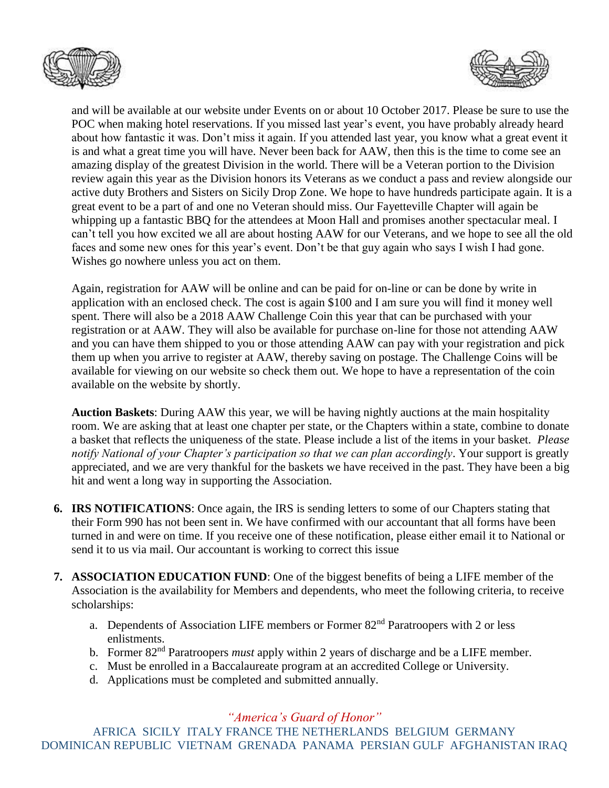



and will be available at our website under Events on or about 10 October 2017. Please be sure to use the POC when making hotel reservations. If you missed last year's event, you have probably already heard about how fantastic it was. Don't miss it again. If you attended last year, you know what a great event it is and what a great time you will have. Never been back for AAW, then this is the time to come see an amazing display of the greatest Division in the world. There will be a Veteran portion to the Division review again this year as the Division honors its Veterans as we conduct a pass and review alongside our active duty Brothers and Sisters on Sicily Drop Zone. We hope to have hundreds participate again. It is a great event to be a part of and one no Veteran should miss. Our Fayetteville Chapter will again be whipping up a fantastic BBQ for the attendees at Moon Hall and promises another spectacular meal. I can't tell you how excited we all are about hosting AAW for our Veterans, and we hope to see all the old faces and some new ones for this year's event. Don't be that guy again who says I wish I had gone. Wishes go nowhere unless you act on them.

Again, registration for AAW will be online and can be paid for on-line or can be done by write in application with an enclosed check. The cost is again \$100 and I am sure you will find it money well spent. There will also be a 2018 AAW Challenge Coin this year that can be purchased with your registration or at AAW. They will also be available for purchase on-line for those not attending AAW and you can have them shipped to you or those attending AAW can pay with your registration and pick them up when you arrive to register at AAW, thereby saving on postage. The Challenge Coins will be available for viewing on our website so check them out. We hope to have a representation of the coin available on the website by shortly.

**Auction Baskets**: During AAW this year, we will be having nightly auctions at the main hospitality room. We are asking that at least one chapter per state, or the Chapters within a state, combine to donate a basket that reflects the uniqueness of the state. Please include a list of the items in your basket. *Please notify National of your Chapter's participation so that we can plan accordingly*. Your support is greatly appreciated, and we are very thankful for the baskets we have received in the past. They have been a big hit and went a long way in supporting the Association.

- **6. IRS NOTIFICATIONS**: Once again, the IRS is sending letters to some of our Chapters stating that their Form 990 has not been sent in. We have confirmed with our accountant that all forms have been turned in and were on time. If you receive one of these notification, please either email it to National or send it to us via mail. Our accountant is working to correct this issue
- **7. ASSOCIATION EDUCATION FUND**: One of the biggest benefits of being a LIFE member of the Association is the availability for Members and dependents, who meet the following criteria, to receive scholarships:
	- a. Dependents of Association LIFE members or Former 82nd Paratroopers with 2 or less enlistments.
	- b. Former 82nd Paratroopers *must* apply within 2 years of discharge and be a LIFE member.
	- c. Must be enrolled in a Baccalaureate program at an accredited College or University.
	- d. Applications must be completed and submitted annually.

## *"America's Guard of Honor"*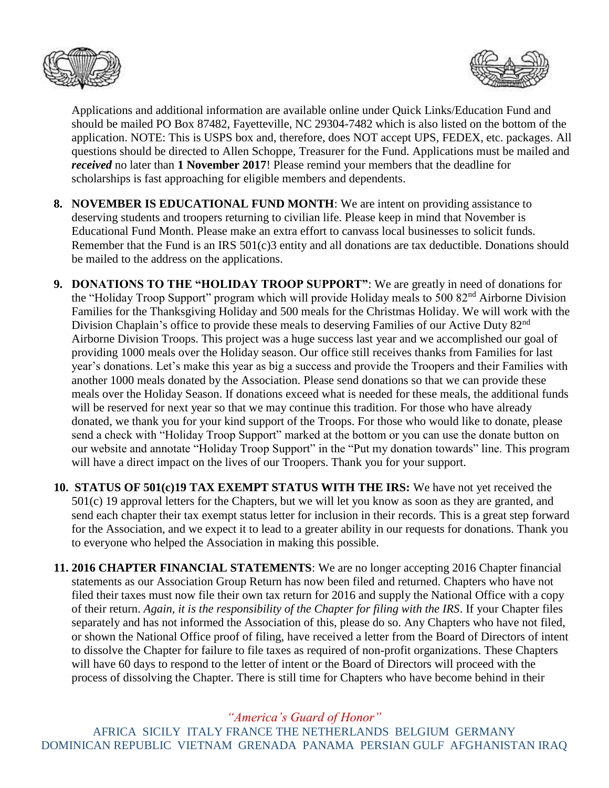



Applications and additional information are available online under Quick Links/Education Fund and should be mailed PO Box 87482, Fayetteville, NC 29304-7482 which is also listed on the bottom of the application. NOTE: This is USPS box and, therefore, does NOT accept UPS, FEDEX, etc. packages. All questions should be directed to Allen Schoppe, Treasurer for the Fund. Applications must be mailed and *received* no later than **1 November 2017**! Please remind your members that the deadline for scholarships is fast approaching for eligible members and dependents.

- **8. NOVEMBER IS EDUCATIONAL FUND MONTH**: We are intent on providing assistance to deserving students and troopers returning to civilian life. Please keep in mind that November is Educational Fund Month. Please make an extra effort to canvass local businesses to solicit funds. Remember that the Fund is an IRS 501(c)3 entity and all donations are tax deductible. Donations should be mailed to the address on the applications.
- **9. DONATIONS TO THE "HOLIDAY TROOP SUPPORT"**: We are greatly in need of donations for the "Holiday Troop Support" program which will provide Holiday meals to 500 82<sup>nd</sup> Airborne Division Families for the Thanksgiving Holiday and 500 meals for the Christmas Holiday. We will work with the Division Chaplain's office to provide these meals to deserving Families of our Active Duty 82<sup>nd</sup> Airborne Division Troops. This project was a huge success last year and we accomplished our goal of providing 1000 meals over the Holiday season. Our office still receives thanks from Families for last year's donations. Let's make this year as big a success and provide the Troopers and their Families with another 1000 meals donated by the Association. Please send donations so that we can provide these meals over the Holiday Season. If donations exceed what is needed for these meals, the additional funds will be reserved for next year so that we may continue this tradition. For those who have already donated, we thank you for your kind support of the Troops. For those who would like to donate, please send a check with "Holiday Troop Support" marked at the bottom or you can use the donate button on our website and annotate "Holiday Troop Support" in the "Put my donation towards" line. This program will have a direct impact on the lives of our Troopers. Thank you for your support.
- **10. STATUS OF 501(c)19 TAX EXEMPT STATUS WITH THE IRS:** We have not yet received the 501(c) 19 approval letters for the Chapters, but we will let you know as soon as they are granted, and send each chapter their tax exempt status letter for inclusion in their records. This is a great step forward for the Association, and we expect it to lead to a greater ability in our requests for donations. Thank you to everyone who helped the Association in making this possible.
- **11. 2016 CHAPTER FINANCIAL STATEMENTS**: We are no longer accepting 2016 Chapter financial statements as our Association Group Return has now been filed and returned. Chapters who have not filed their taxes must now file their own tax return for 2016 and supply the National Office with a copy of their return. *Again, it is the responsibility of the Chapter for filing with the IRS*. If your Chapter files separately and has not informed the Association of this, please do so. Any Chapters who have not filed, or shown the National Office proof of filing, have received a letter from the Board of Directors of intent to dissolve the Chapter for failure to file taxes as required of non-profit organizations. These Chapters will have 60 days to respond to the letter of intent or the Board of Directors will proceed with the process of dissolving the Chapter. There is still time for Chapters who have become behind in their

*"America's Guard of Honor"*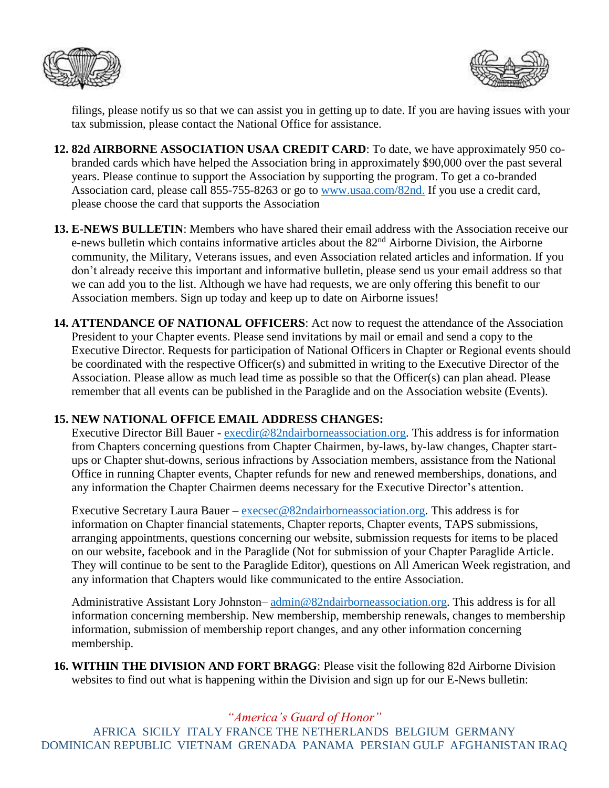



filings, please notify us so that we can assist you in getting up to date. If you are having issues with your tax submission, please contact the National Office for assistance.

- **12. 82d AIRBORNE ASSOCIATION USAA CREDIT CARD**: To date, we have approximately 950 cobranded cards which have helped the Association bring in approximately \$90,000 over the past several years. Please continue to support the Association by supporting the program. To get a co-branded Association card, please call 855-755-8263 or go to [www.usaa.com/82nd.](http://www.usaa.com/82nd) If you use a credit card, please choose the card that supports the Association
- **13. E-NEWS BULLETIN**: Members who have shared their email address with the Association receive our e-news bulletin which contains informative articles about the 82<sup>nd</sup> Airborne Division, the Airborne community, the Military, Veterans issues, and even Association related articles and information. If you don't already receive this important and informative bulletin, please send us your email address so that we can add you to the list. Although we have had requests, we are only offering this benefit to our Association members. Sign up today and keep up to date on Airborne issues!
- **14. ATTENDANCE OF NATIONAL OFFICERS**: Act now to request the attendance of the Association President to your Chapter events. Please send invitations by mail or email and send a copy to the Executive Director. Requests for participation of National Officers in Chapter or Regional events should be coordinated with the respective Officer(s) and submitted in writing to the Executive Director of the Association. Please allow as much lead time as possible so that the Officer(s) can plan ahead. Please remember that all events can be published in the Paraglide and on the Association website (Events).

## **15. NEW NATIONAL OFFICE EMAIL ADDRESS CHANGES:**

Executive Director Bill Bauer - [execdir@82ndairborneassociation.org.](mailto:execdir@82ndairborneassociation.org) This address is for information from Chapters concerning questions from Chapter Chairmen, by-laws, by-law changes, Chapter startups or Chapter shut-downs, serious infractions by Association members, assistance from the National Office in running Chapter events, Chapter refunds for new and renewed memberships, donations, and any information the Chapter Chairmen deems necessary for the Executive Director's attention.

Executive Secretary Laura Bauer – [execsec@82ndairborneassociation.org.](mailto:execsec@82ndairborneassociation.org) This address is for information on Chapter financial statements, Chapter reports, Chapter events, TAPS submissions, arranging appointments, questions concerning our website, submission requests for items to be placed on our website, facebook and in the Paraglide (Not for submission of your Chapter Paraglide Article. They will continue to be sent to the Paraglide Editor), questions on All American Week registration, and any information that Chapters would like communicated to the entire Association.

Administrative Assistant Lory Johnston– [admin@82ndairborneassociation.org.](mailto:admin@82ndairborneassociation.org) This address is for all information concerning membership. New membership, membership renewals, changes to membership information, submission of membership report changes, and any other information concerning membership.

**16. WITHIN THE DIVISION AND FORT BRAGG**: Please visit the following 82d Airborne Division websites to find out what is happening within the Division and sign up for our E-News bulletin:

## *"America's Guard of Honor"*